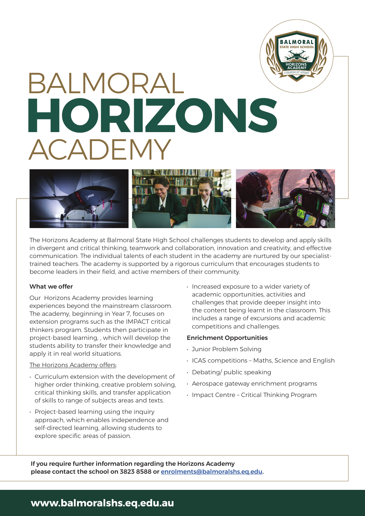# BALMORAL ACADEMY **HORIZONS**



The Horizons Academy at Balmoral State High School challenges students to develop and apply skills in divergent and critical thinking, teamwork and collaboration, innovation and creativity, and effective communication. The individual talents of each student in the academy are nurtured by our specialisttrained teachers. The academy is supported by a rigorous curriculum that encourages students to become leaders in their field, and active members of their community.

## What we offer

Our Horizons Academy provides learning experiences beyond the mainstream classroom. The academy, beginning in Year 7, focuses on extension programs such as the IMPACT critical thinkers program. Students then participate in project-based learning, , which will develop the students ability to transfer their knowledge and apply it in real world situations.

# The Horizons Academy offers:

- Curriculum extension with the development of higher order thinking, creative problem solving, critical thinking skills, and transfer application of skills to range of subjects areas and texts.
- Project-based learning using the inquiry approach, which enables independence and self-directed learning, allowing students to explore specific areas of passion.

• Increased exposure to a wider variety of academic opportunities, activities and challenges that provide deeper insight into the content being learnt in the classroom. This includes a range of excursions and academic competitions and challenges.

**STATE HIGH SCHOOL**

**RAIMORA** 

**HORIZONS ACADEMY** *CONSILIO ET ANIMO*

### Enrichment Opportunities

- Junior Problem Solving
- ICAS competitions Maths, Science and English
- Debating/ public speaking
- Aerospace gateway enrichment programs
- Impact Centre Critical Thinking Program

If you require further information regarding the Horizons Academy please contact the school on 3823 8588 or enrolments@balmoralshs.eq.edu.

# **www.balmoralshs.eq.edu.au**